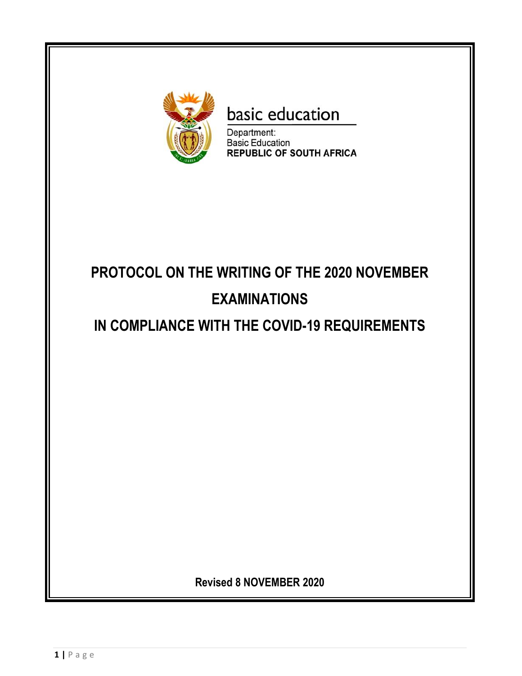

basic education

Department: **Basic Education REPUBLIC OF SOUTH AFRICA** 

# **PROTOCOL ON THE WRITING OF THE 2020 NOVEMBER EXAMINATIONS**

# **IN COMPLIANCE WITH THE COVID-19 REQUIREMENTS**

**Revised 8 NOVEMBER 2020**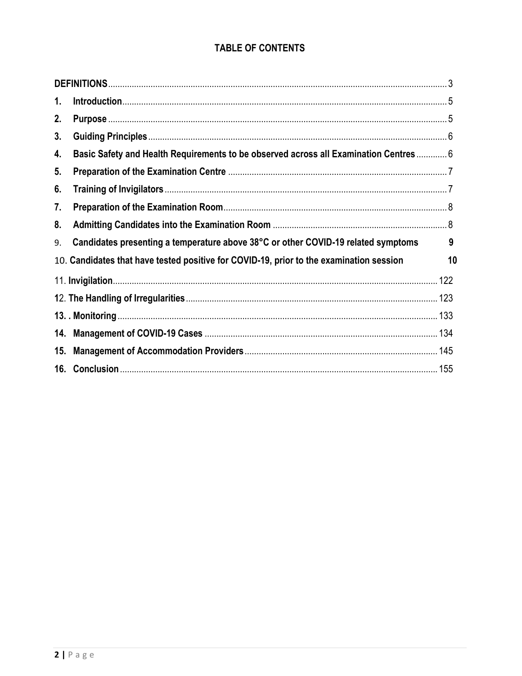## **TABLE OF CONTENTS**

| 1.  |                                                                                         |    |
|-----|-----------------------------------------------------------------------------------------|----|
| 2.  |                                                                                         |    |
| 3.  |                                                                                         |    |
| 4.  | Basic Safety and Health Requirements to be observed across all Examination Centres 6    |    |
| 5.  |                                                                                         |    |
| 6.  |                                                                                         |    |
| 7.  |                                                                                         |    |
| 8.  |                                                                                         |    |
| 9.  | Candidates presenting a temperature above 38°C or other COVID-19 related symptoms       | 9  |
|     | 10. Candidates that have tested positive for COVID-19, prior to the examination session | 10 |
|     |                                                                                         |    |
|     |                                                                                         |    |
|     |                                                                                         |    |
|     |                                                                                         |    |
| 15. |                                                                                         |    |
|     |                                                                                         |    |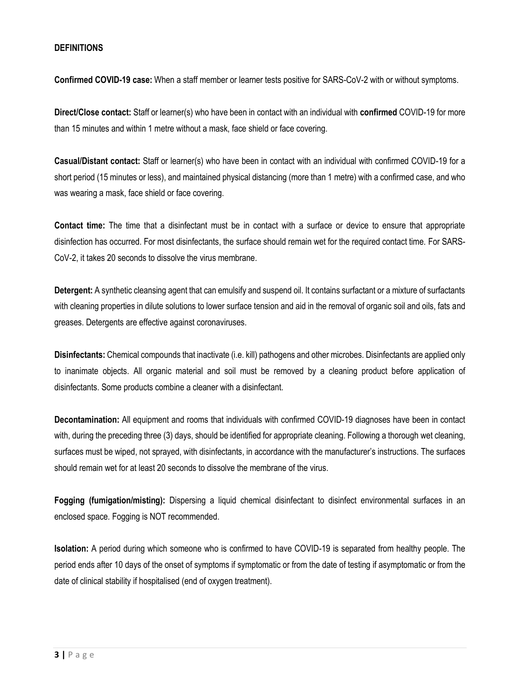#### <span id="page-2-0"></span>**DEFINITIONS**

**Confirmed COVID-19 case:** When a staff member or learner tests positive for SARS-CoV-2 with or without symptoms.

**Direct/Close contact:** Staff or learner(s) who have been in contact with an individual with **confirmed** COVID-19 for more than 15 minutes and within 1 metre without a mask, face shield or face covering.

**Casual/Distant contact:** Staff or learner(s) who have been in contact with an individual with confirmed COVID-19 for a short period (15 minutes or less), and maintained physical distancing (more than 1 metre) with a confirmed case, and who was wearing a mask, face shield or face covering.

**Contact time:** The time that a disinfectant must be in contact with a surface or device to ensure that appropriate disinfection has occurred. For most disinfectants, the surface should remain wet for the required contact time. For SARS-CoV-2, it takes 20 seconds to dissolve the virus membrane.

**Detergent:** A synthetic cleansing agent that can emulsify and suspend oil. It contains surfactant or a mixture of surfactants with cleaning properties in dilute solutions to lower surface tension and aid in the removal of organic soil and oils, fats and greases. Detergents are effective against coronaviruses.

**Disinfectants:** Chemical compounds that inactivate (i.e. kill) pathogens and other microbes. Disinfectants are applied only to inanimate objects. All organic material and soil must be removed by a cleaning product before application of disinfectants. Some products combine a cleaner with a disinfectant.

**Decontamination:** All equipment and rooms that individuals with confirmed COVID-19 diagnoses have been in contact with, during the preceding three (3) days, should be identified for appropriate cleaning. Following a thorough wet cleaning, surfaces must be wiped, not sprayed, with disinfectants, in accordance with the manufacturer's instructions. The surfaces should remain wet for at least 20 seconds to dissolve the membrane of the virus.

**Fogging (fumigation/misting):** Dispersing a liquid chemical disinfectant to disinfect environmental surfaces in an enclosed space*.* Fogging is NOT recommended.

**Isolation:** A period during which someone who is confirmed to have COVID-19 is separated from healthy people. The period ends after 10 days of the onset of symptoms if symptomatic or from the date of testing if asymptomatic or from the date of clinical stability if hospitalised (end of oxygen treatment).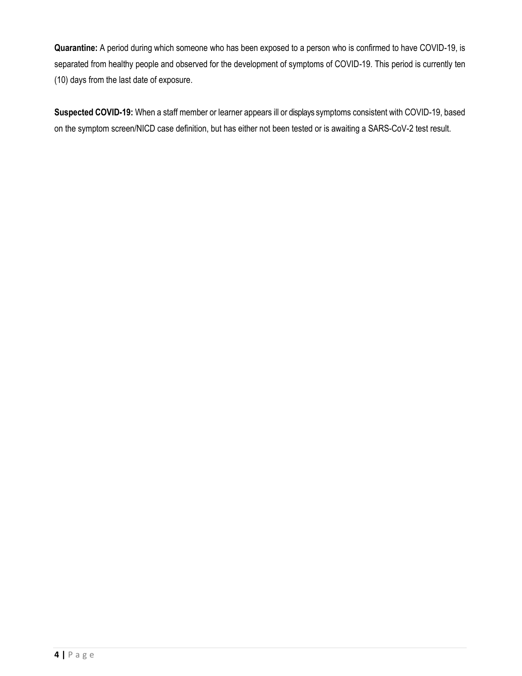**Quarantine:** A period during which someone who has been exposed to a person who is confirmed to have COVID-19, is separated from healthy people and observed for the development of symptoms of COVID-19. This period is currently ten (10) days from the last date of exposure.

**Suspected COVID-19:** When a staff member or learner appears ill or displays symptoms consistent with COVID-19, based on the symptom screen/NICD case definition, but has either not been tested or is awaiting a SARS-CoV-2 test result.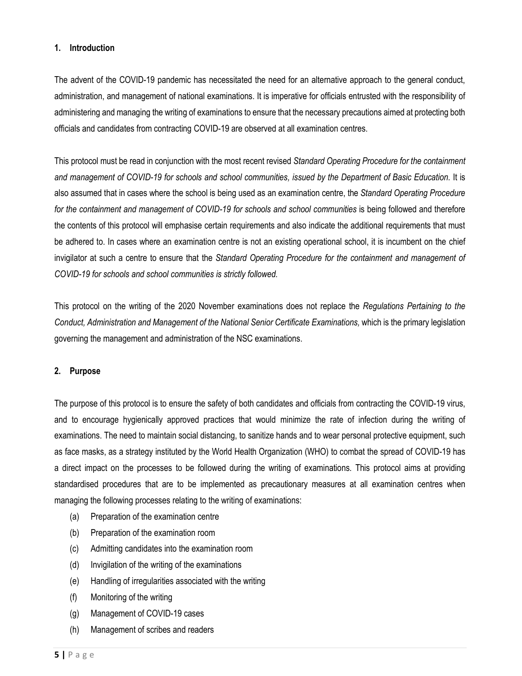#### <span id="page-4-0"></span>**1. Introduction**

The advent of the COVID-19 pandemic has necessitated the need for an alternative approach to the general conduct, administration, and management of national examinations. It is imperative for officials entrusted with the responsibility of administering and managing the writing of examinations to ensure that the necessary precautions aimed at protecting both officials and candidates from contracting COVID-19 are observed at all examination centres.

This protocol must be read in conjunction with the most recent revised *Standard Operating Procedure for the containment and management of COVID-19 for schools and school communities, issued by the Department of Basic Education.* It is also assumed that in cases where the school is being used as an examination centre, the *Standard Operating Procedure for the containment and management of COVID-19 for schools and school communities* is being followed and therefore the contents of this protocol will emphasise certain requirements and also indicate the additional requirements that must be adhered to. In cases where an examination centre is not an existing operational school, it is incumbent on the chief invigilator at such a centre to ensure that the *Standard Operating Procedure for the containment and management of COVID-19 for schools and school communities is strictly followed.* 

This protocol on the writing of the 2020 November examinations does not replace the *Regulations Pertaining to the Conduct, Administration and Management of the National Senior Certificate Examinations,* which is the primary legislation governing the management and administration of the NSC examinations.

#### <span id="page-4-1"></span>**2. Purpose**

The purpose of this protocol is to ensure the safety of both candidates and officials from contracting the COVID-19 virus, and to encourage hygienically approved practices that would minimize the rate of infection during the writing of examinations. The need to maintain social distancing, to sanitize hands and to wear personal protective equipment, such as face masks, as a strategy instituted by the World Health Organization (WHO) to combat the spread of COVID-19 has a direct impact on the processes to be followed during the writing of examinations. This protocol aims at providing standardised procedures that are to be implemented as precautionary measures at all examination centres when managing the following processes relating to the writing of examinations:

- (a) Preparation of the examination centre
- (b) Preparation of the examination room
- (c) Admitting candidates into the examination room
- (d) Invigilation of the writing of the examinations
- (e) Handling of irregularities associated with the writing
- (f) Monitoring of the writing
- (g) Management of COVID-19 cases
- (h) Management of scribes and readers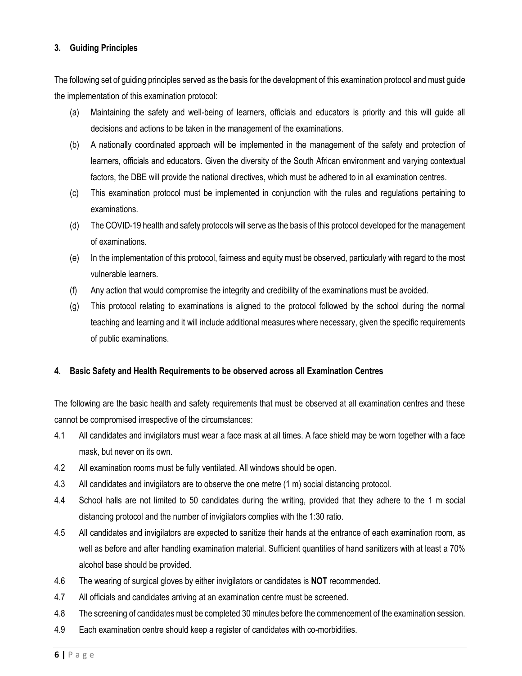#### <span id="page-5-0"></span>**3. Guiding Principles**

The following set of guiding principles served as the basis for the development of this examination protocol and must guide the implementation of this examination protocol:

- (a) Maintaining the safety and well-being of learners, officials and educators is priority and this will guide all decisions and actions to be taken in the management of the examinations.
- (b) A nationally coordinated approach will be implemented in the management of the safety and protection of learners, officials and educators. Given the diversity of the South African environment and varying contextual factors, the DBE will provide the national directives, which must be adhered to in all examination centres.
- (c) This examination protocol must be implemented in conjunction with the rules and regulations pertaining to examinations.
- (d) The COVID-19 health and safety protocols will serve as the basis of this protocol developed for the management of examinations.
- (e) In the implementation of this protocol, fairness and equity must be observed, particularly with regard to the most vulnerable learners.
- (f) Any action that would compromise the integrity and credibility of the examinations must be avoided.
- (g) This protocol relating to examinations is aligned to the protocol followed by the school during the normal teaching and learning and it will include additional measures where necessary, given the specific requirements of public examinations.

#### <span id="page-5-1"></span>**4. Basic Safety and Health Requirements to be observed across all Examination Centres**

The following are the basic health and safety requirements that must be observed at all examination centres and these cannot be compromised irrespective of the circumstances:

- 4.1 All candidates and invigilators must wear a face mask at all times. A face shield may be worn together with a face mask, but never on its own.
- 4.2 All examination rooms must be fully ventilated. All windows should be open.
- 4.3 All candidates and invigilators are to observe the one metre (1 m) social distancing protocol.
- 4.4 School halls are not limited to 50 candidates during the writing, provided that they adhere to the 1 m social distancing protocol and the number of invigilators complies with the 1:30 ratio.
- 4.5 All candidates and invigilators are expected to sanitize their hands at the entrance of each examination room, as well as before and after handling examination material. Sufficient quantities of hand sanitizers with at least a 70% alcohol base should be provided.
- 4.6 The wearing of surgical gloves by either invigilators or candidates is **NOT** recommended.
- 4.7 All officials and candidates arriving at an examination centre must be screened.
- 4.8 The screening of candidates must be completed 30 minutes before the commencement of the examination session.
- 4.9 Each examination centre should keep a register of candidates with co-morbidities.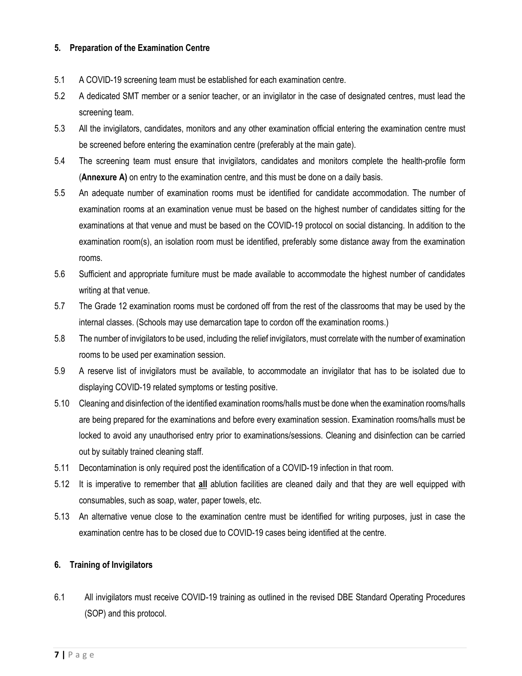#### <span id="page-6-0"></span>**5. Preparation of the Examination Centre**

- 5.1 A COVID-19 screening team must be established for each examination centre.
- 5.2 A dedicated SMT member or a senior teacher, or an invigilator in the case of designated centres, must lead the screening team.
- 5.3 All the invigilators, candidates, monitors and any other examination official entering the examination centre must be screened before entering the examination centre (preferably at the main gate).
- 5.4 The screening team must ensure that invigilators, candidates and monitors complete the health-profile form (**Annexure A)** on entry to the examination centre, and this must be done on a daily basis.
- 5.5 An adequate number of examination rooms must be identified for candidate accommodation. The number of examination rooms at an examination venue must be based on the highest number of candidates sitting for the examinations at that venue and must be based on the COVID-19 protocol on social distancing. In addition to the examination room(s), an isolation room must be identified, preferably some distance away from the examination rooms.
- 5.6 Sufficient and appropriate furniture must be made available to accommodate the highest number of candidates writing at that venue.
- 5.7 The Grade 12 examination rooms must be cordoned off from the rest of the classrooms that may be used by the internal classes. (Schools may use demarcation tape to cordon off the examination rooms.)
- 5.8 The number of invigilators to be used, including the relief invigilators, must correlate with the number of examination rooms to be used per examination session.
- 5.9 A reserve list of invigilators must be available, to accommodate an invigilator that has to be isolated due to displaying COVID-19 related symptoms or testing positive.
- 5.10 Cleaning and disinfection of the identified examination rooms/halls must be done when the examination rooms/halls are being prepared for the examinations and before every examination session. Examination rooms/halls must be locked to avoid any unauthorised entry prior to examinations/sessions. Cleaning and disinfection can be carried out by suitably trained cleaning staff.
- 5.11 Decontamination is only required post the identification of a COVID-19 infection in that room.
- 5.12 It is imperative to remember that **all** ablution facilities are cleaned daily and that they are well equipped with consumables, such as soap, water, paper towels, etc.
- 5.13 An alternative venue close to the examination centre must be identified for writing purposes, just in case the examination centre has to be closed due to COVID-19 cases being identified at the centre.

#### <span id="page-6-1"></span>**6. Training of Invigilators**

6.1 All invigilators must receive COVID-19 training as outlined in the revised DBE Standard Operating Procedures (SOP) and this protocol.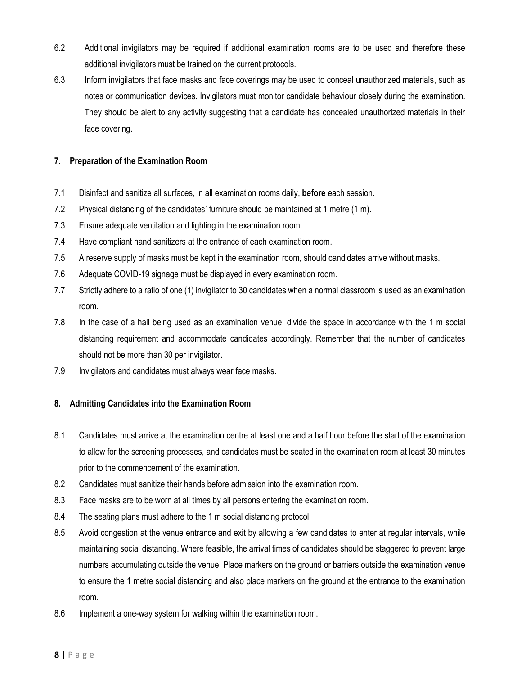- 6.2 Additional invigilators may be required if additional examination rooms are to be used and therefore these additional invigilators must be trained on the current protocols.
- 6.3 Inform invigilators that face masks and face coverings may be used to conceal unauthorized materials, such as notes or communication devices. Invigilators must monitor candidate behaviour closely during the examination. They should be alert to any activity suggesting that a candidate has concealed unauthorized materials in their face covering.

#### <span id="page-7-0"></span>**7. Preparation of the Examination Room**

- 7.1 Disinfect and sanitize all surfaces, in all examination rooms daily, **before** each session.
- 7.2 Physical distancing of the candidates' furniture should be maintained at 1 metre (1 m).
- 7.3 Ensure adequate ventilation and lighting in the examination room.
- 7.4 Have compliant hand sanitizers at the entrance of each examination room.
- 7.5 A reserve supply of masks must be kept in the examination room, should candidates arrive without masks.
- 7.6 Adequate COVID-19 signage must be displayed in every examination room.
- 7.7 Strictly adhere to a ratio of one (1) invigilator to 30 candidates when a normal classroom is used as an examination room.
- 7.8 In the case of a hall being used as an examination venue, divide the space in accordance with the 1 m social distancing requirement and accommodate candidates accordingly. Remember that the number of candidates should not be more than 30 per invigilator.
- 7.9 Invigilators and candidates must always wear face masks.

#### <span id="page-7-1"></span>**8. Admitting Candidates into the Examination Room**

- 8.1 Candidates must arrive at the examination centre at least one and a half hour before the start of the examination to allow for the screening processes, and candidates must be seated in the examination room at least 30 minutes prior to the commencement of the examination.
- 8.2 Candidates must sanitize their hands before admission into the examination room.
- 8.3 Face masks are to be worn at all times by all persons entering the examination room.
- 8.4 The seating plans must adhere to the 1 m social distancing protocol.
- 8.5 Avoid congestion at the venue entrance and exit by allowing a few candidates to enter at regular intervals, while maintaining social distancing. Where feasible, the arrival times of candidates should be staggered to prevent large numbers accumulating outside the venue. Place markers on the ground or barriers outside the examination venue to ensure the 1 metre social distancing and also place markers on the ground at the entrance to the examination room.
- 8.6 Implement a one-way system for walking within the examination room.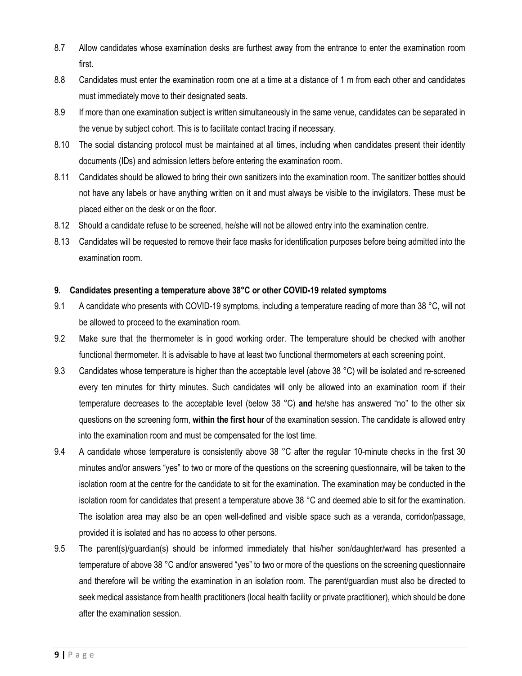- 8.7 Allow candidates whose examination desks are furthest away from the entrance to enter the examination room first.
- 8.8 Candidates must enter the examination room one at a time at a distance of 1 m from each other and candidates must immediately move to their designated seats.
- 8.9 If more than one examination subject is written simultaneously in the same venue, candidates can be separated in the venue by subject cohort. This is to facilitate contact tracing if necessary.
- 8.10 The social distancing protocol must be maintained at all times, including when candidates present their identity documents (IDs) and admission letters before entering the examination room.
- 8.11 Candidates should be allowed to bring their own sanitizers into the examination room. The sanitizer bottles should not have any labels or have anything written on it and must always be visible to the invigilators. These must be placed either on the desk or on the floor.
- 8.12 Should a candidate refuse to be screened, he/she will not be allowed entry into the examination centre.
- 8.13 Candidates will be requested to remove their face masks for identification purposes before being admitted into the examination room.

#### **9. Candidates presenting a temperature above 38°C or other COVID-19 related symptoms**

- 9.1 A candidate who presents with COVID-19 symptoms, including a temperature reading of more than 38 °C, will not be allowed to proceed to the examination room.
- 9.2 Make sure that the thermometer is in good working order. The temperature should be checked with another functional thermometer. It is advisable to have at least two functional thermometers at each screening point.
- 9.3 Candidates whose temperature is higher than the acceptable level (above 38 °C) will be isolated and re-screened every ten minutes for thirty minutes. Such candidates will only be allowed into an examination room if their temperature decreases to the acceptable level (below 38 °C) **and** he/she has answered "no" to the other six questions on the screening form, **within the first hour** of the examination session. The candidate is allowed entry into the examination room and must be compensated for the lost time.
- 9.4 A candidate whose temperature is consistently above 38 °C after the regular 10-minute checks in the first 30 minutes and/or answers "yes" to two or more of the questions on the screening questionnaire, will be taken to the isolation room at the centre for the candidate to sit for the examination. The examination may be conducted in the isolation room for candidates that present a temperature above 38 °C and deemed able to sit for the examination. The isolation area may also be an open well-defined and visible space such as a veranda, corridor/passage, provided it is isolated and has no access to other persons.
- 9.5 The parent(s)/guardian(s) should be informed immediately that his/her son/daughter/ward has presented a temperature of above 38 °C and/or answered "yes" to two or more of the questions on the screening questionnaire and therefore will be writing the examination in an isolation room. The parent/guardian must also be directed to seek medical assistance from health practitioners (local health facility or private practitioner), which should be done after the examination session.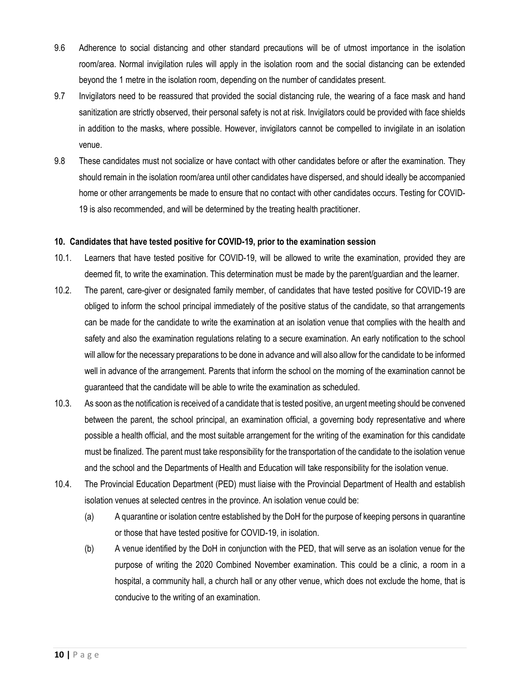- 9.6 Adherence to social distancing and other standard precautions will be of utmost importance in the isolation room/area. Normal invigilation rules will apply in the isolation room and the social distancing can be extended beyond the 1 metre in the isolation room, depending on the number of candidates present.
- 9.7 Invigilators need to be reassured that provided the social distancing rule, the wearing of a face mask and hand sanitization are strictly observed, their personal safety is not at risk. Invigilators could be provided with face shields in addition to the masks, where possible. However, invigilators cannot be compelled to invigilate in an isolation venue.
- 9.8 These candidates must not socialize or have contact with other candidates before or after the examination. They should remain in the isolation room/area until other candidates have dispersed, and should ideally be accompanied home or other arrangements be made to ensure that no contact with other candidates occurs. Testing for COVID-19 is also recommended, and will be determined by the treating health practitioner.

#### **10. Candidates that have tested positive for COVID-19, prior to the examination session**

- 10.1. Learners that have tested positive for COVID-19, will be allowed to write the examination, provided they are deemed fit, to write the examination. This determination must be made by the parent/guardian and the learner.
- 10.2. The parent, care-giver or designated family member, of candidates that have tested positive for COVID-19 are obliged to inform the school principal immediately of the positive status of the candidate, so that arrangements can be made for the candidate to write the examination at an isolation venue that complies with the health and safety and also the examination regulations relating to a secure examination. An early notification to the school will allow for the necessary preparations to be done in advance and will also allow for the candidate to be informed well in advance of the arrangement. Parents that inform the school on the morning of the examination cannot be guaranteed that the candidate will be able to write the examination as scheduled.
- 10.3. As soon as the notification is received of a candidate that is tested positive, an urgent meeting should be convened between the parent, the school principal, an examination official, a governing body representative and where possible a health official, and the most suitable arrangement for the writing of the examination for this candidate must be finalized. The parent must take responsibility for the transportation of the candidate to the isolation venue and the school and the Departments of Health and Education will take responsibility for the isolation venue.
- 10.4. The Provincial Education Department (PED) must liaise with the Provincial Department of Health and establish isolation venues at selected centres in the province. An isolation venue could be:
	- (a) A quarantine or isolation centre established by the DoH for the purpose of keeping persons in quarantine or those that have tested positive for COVID-19, in isolation.
	- (b) A venue identified by the DoH in conjunction with the PED, that will serve as an isolation venue for the purpose of writing the 2020 Combined November examination. This could be a clinic, a room in a hospital, a community hall, a church hall or any other venue, which does not exclude the home, that is conducive to the writing of an examination.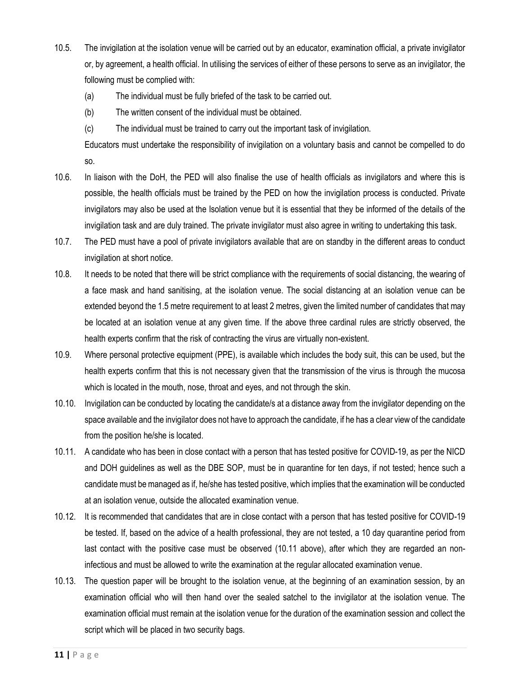- 10.5. The invigilation at the isolation venue will be carried out by an educator, examination official, a private invigilator or, by agreement, a health official. In utilising the services of either of these persons to serve as an invigilator, the following must be complied with:
	- (a) The individual must be fully briefed of the task to be carried out.
	- (b) The written consent of the individual must be obtained.
	- (c) The individual must be trained to carry out the important task of invigilation.

Educators must undertake the responsibility of invigilation on a voluntary basis and cannot be compelled to do so.

- 10.6. In liaison with the DoH, the PED will also finalise the use of health officials as invigilators and where this is possible, the health officials must be trained by the PED on how the invigilation process is conducted. Private invigilators may also be used at the Isolation venue but it is essential that they be informed of the details of the invigilation task and are duly trained. The private invigilator must also agree in writing to undertaking this task.
- 10.7. The PED must have a pool of private invigilators available that are on standby in the different areas to conduct invigilation at short notice.
- 10.8. It needs to be noted that there will be strict compliance with the requirements of social distancing, the wearing of a face mask and hand sanitising, at the isolation venue. The social distancing at an isolation venue can be extended beyond the 1.5 metre requirement to at least 2 metres, given the limited number of candidates that may be located at an isolation venue at any given time. If the above three cardinal rules are strictly observed, the health experts confirm that the risk of contracting the virus are virtually non-existent.
- 10.9. Where personal protective equipment (PPE), is available which includes the body suit, this can be used, but the health experts confirm that this is not necessary given that the transmission of the virus is through the mucosa which is located in the mouth, nose, throat and eyes, and not through the skin.
- 10.10. Invigilation can be conducted by locating the candidate/s at a distance away from the invigilator depending on the space available and the invigilator does not have to approach the candidate, if he has a clear view of the candidate from the position he/she is located.
- 10.11. A candidate who has been in close contact with a person that has tested positive for COVID-19, as per the NICD and DOH guidelines as well as the DBE SOP, must be in quarantine for ten days, if not tested; hence such a candidate must be managed as if, he/she has tested positive, which implies that the examination will be conducted at an isolation venue, outside the allocated examination venue.
- 10.12. It is recommended that candidates that are in close contact with a person that has tested positive for COVID-19 be tested. If, based on the advice of a health professional, they are not tested, a 10 day quarantine period from last contact with the positive case must be observed (10.11 above), after which they are regarded an noninfectious and must be allowed to write the examination at the regular allocated examination venue.
- 10.13. The question paper will be brought to the isolation venue, at the beginning of an examination session, by an examination official who will then hand over the sealed satchel to the invigilator at the isolation venue. The examination official must remain at the isolation venue for the duration of the examination session and collect the script which will be placed in two security bags.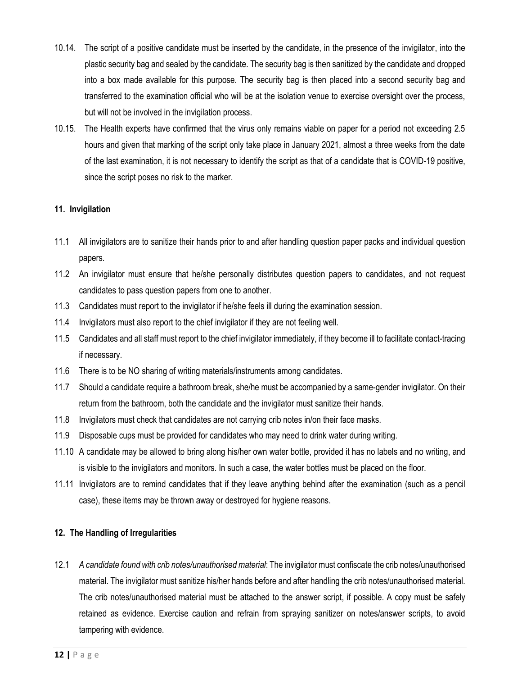- 10.14. The script of a positive candidate must be inserted by the candidate, in the presence of the invigilator, into the plastic security bag and sealed by the candidate. The security bag is then sanitized by the candidate and dropped into a box made available for this purpose. The security bag is then placed into a second security bag and transferred to the examination official who will be at the isolation venue to exercise oversight over the process, but will not be involved in the invigilation process.
- 10.15. The Health experts have confirmed that the virus only remains viable on paper for a period not exceeding 2.5 hours and given that marking of the script only take place in January 2021, almost a three weeks from the date of the last examination, it is not necessary to identify the script as that of a candidate that is COVID-19 positive, since the script poses no risk to the marker.

#### <span id="page-11-0"></span>**11. Invigilation**

- 11.1 All invigilators are to sanitize their hands prior to and after handling question paper packs and individual question papers.
- 11.2 An invigilator must ensure that he/she personally distributes question papers to candidates, and not request candidates to pass question papers from one to another.
- 11.3 Candidates must report to the invigilator if he/she feels ill during the examination session.
- 11.4 Invigilators must also report to the chief invigilator if they are not feeling well.
- 11.5 Candidates and all staff must report to the chief invigilator immediately, if they become ill to facilitate contact-tracing if necessary.
- 11.6 There is to be NO sharing of writing materials/instruments among candidates.
- 11.7 Should a candidate require a bathroom break, she/he must be accompanied by a same-gender invigilator. On their return from the bathroom, both the candidate and the invigilator must sanitize their hands.
- 11.8 Invigilators must check that candidates are not carrying crib notes in/on their face masks.
- 11.9 Disposable cups must be provided for candidates who may need to drink water during writing.
- 11.10 A candidate may be allowed to bring along his/her own water bottle, provided it has no labels and no writing, and is visible to the invigilators and monitors. In such a case, the water bottles must be placed on the floor.
- 11.11 Invigilators are to remind candidates that if they leave anything behind after the examination (such as a pencil case), these items may be thrown away or destroyed for hygiene reasons.

#### <span id="page-11-1"></span>**12. The Handling of Irregularities**

12.1 *A candidate found with crib notes/unauthorised material*: The invigilator must confiscate the crib notes/unauthorised material. The invigilator must sanitize his/her hands before and after handling the crib notes/unauthorised material. The crib notes/unauthorised material must be attached to the answer script, if possible. A copy must be safely retained as evidence. Exercise caution and refrain from spraying sanitizer on notes/answer scripts, to avoid tampering with evidence.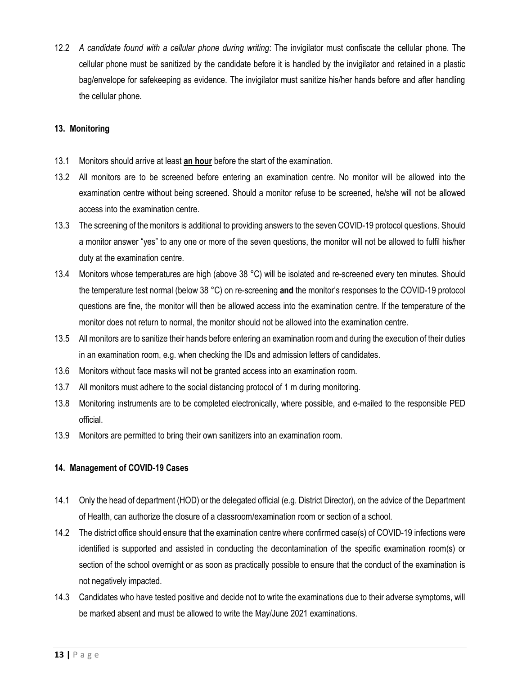12.2 *A candidate found with a cellular phone during writing*: The invigilator must confiscate the cellular phone. The cellular phone must be sanitized by the candidate before it is handled by the invigilator and retained in a plastic bag/envelope for safekeeping as evidence. The invigilator must sanitize his/her hands before and after handling the cellular phone.

#### <span id="page-12-0"></span>**13. Monitoring**

- 13.1 Monitors should arrive at least **an hour** before the start of the examination.
- 13.2 All monitors are to be screened before entering an examination centre. No monitor will be allowed into the examination centre without being screened. Should a monitor refuse to be screened, he/she will not be allowed access into the examination centre.
- 13.3 The screening of the monitors is additional to providing answers to the seven COVID-19 protocol questions. Should a monitor answer "yes" to any one or more of the seven questions, the monitor will not be allowed to fulfil his/her duty at the examination centre.
- 13.4 Monitors whose temperatures are high (above 38 °C) will be isolated and re-screened every ten minutes. Should the temperature test normal (below 38 °C) on re-screening **and** the monitor's responses to the COVID-19 protocol questions are fine, the monitor will then be allowed access into the examination centre. If the temperature of the monitor does not return to normal, the monitor should not be allowed into the examination centre.
- 13.5 All monitors are to sanitize their hands before entering an examination room and during the execution of their duties in an examination room, e.g. when checking the IDs and admission letters of candidates.
- 13.6 Monitors without face masks will not be granted access into an examination room.
- 13.7 All monitors must adhere to the social distancing protocol of 1 m during monitoring.
- 13.8 Monitoring instruments are to be completed electronically, where possible, and e-mailed to the responsible PED official.
- 13.9 Monitors are permitted to bring their own sanitizers into an examination room.

#### <span id="page-12-1"></span>**14. Management of COVID-19 Cases**

- 14.1 Only the head of department (HOD) or the delegated official (e.g. District Director), on the advice of the Department of Health, can authorize the closure of a classroom/examination room or section of a school.
- 14.2 The district office should ensure that the examination centre where confirmed case(s) of COVID-19 infections were identified is supported and assisted in conducting the decontamination of the specific examination room(s) or section of the school overnight or as soon as practically possible to ensure that the conduct of the examination is not negatively impacted.
- 14.3 Candidates who have tested positive and decide not to write the examinations due to their adverse symptoms, will be marked absent and must be allowed to write the May/June 2021 examinations.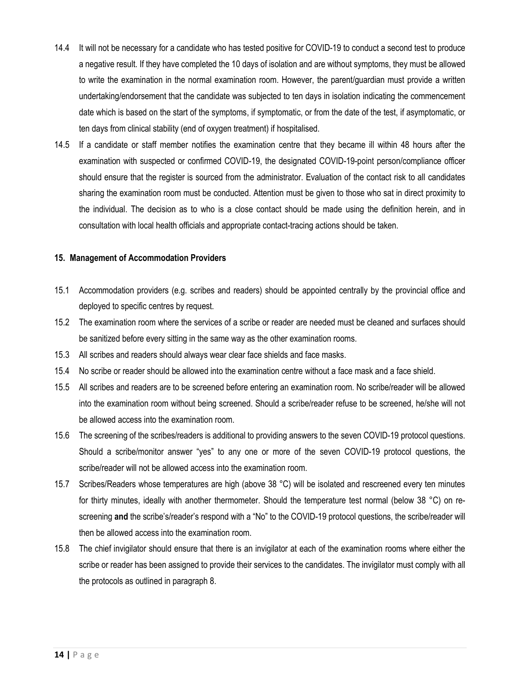- 14.4 It will not be necessary for a candidate who has tested positive for COVID-19 to conduct a second test to produce a negative result. If they have completed the 10 days of isolation and are without symptoms, they must be allowed to write the examination in the normal examination room. However, the parent/guardian must provide a written undertaking/endorsement that the candidate was subjected to ten days in isolation indicating the commencement date which is based on the start of the symptoms, if symptomatic, or from the date of the test, if asymptomatic, or ten days from clinical stability (end of oxygen treatment) if hospitalised.
- 14.5 If a candidate or staff member notifies the examination centre that they became ill within 48 hours after the examination with suspected or confirmed COVID-19, the designated COVID-19-point person/compliance officer should ensure that the register is sourced from the administrator. Evaluation of the contact risk to all candidates sharing the examination room must be conducted. Attention must be given to those who sat in direct proximity to the individual. The decision as to who is a close contact should be made using the definition herein, and in consultation with local health officials and appropriate contact-tracing actions should be taken.

#### <span id="page-13-0"></span>**15. Management of Accommodation Providers**

- 15.1 Accommodation providers (e.g. scribes and readers) should be appointed centrally by the provincial office and deployed to specific centres by request.
- 15.2 The examination room where the services of a scribe or reader are needed must be cleaned and surfaces should be sanitized before every sitting in the same way as the other examination rooms.
- 15.3 All scribes and readers should always wear clear face shields and face masks.
- 15.4 No scribe or reader should be allowed into the examination centre without a face mask and a face shield.
- 15.5 All scribes and readers are to be screened before entering an examination room. No scribe/reader will be allowed into the examination room without being screened. Should a scribe/reader refuse to be screened, he/she will not be allowed access into the examination room.
- 15.6 The screening of the scribes/readers is additional to providing answers to the seven COVID-19 protocol questions. Should a scribe/monitor answer "yes" to any one or more of the seven COVID-19 protocol questions, the scribe/reader will not be allowed access into the examination room.
- 15.7 Scribes/Readers whose temperatures are high (above 38 °C) will be isolated and rescreened every ten minutes for thirty minutes, ideally with another thermometer. Should the temperature test normal (below 38 °C) on rescreening **and** the scribe's/reader's respond with a "No" to the COVID-19 protocol questions, the scribe/reader will then be allowed access into the examination room.
- 15.8 The chief invigilator should ensure that there is an invigilator at each of the examination rooms where either the scribe or reader has been assigned to provide their services to the candidates. The invigilator must comply with all the protocols as outlined in paragraph 8.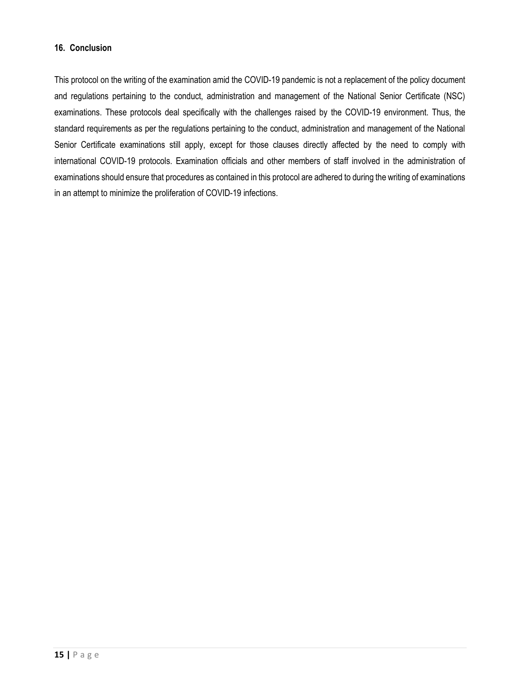#### <span id="page-14-0"></span>**16. Conclusion**

This protocol on the writing of the examination amid the COVID-19 pandemic is not a replacement of the policy document and regulations pertaining to the conduct, administration and management of the National Senior Certificate (NSC) examinations. These protocols deal specifically with the challenges raised by the COVID-19 environment. Thus, the standard requirements as per the regulations pertaining to the conduct, administration and management of the National Senior Certificate examinations still apply, except for those clauses directly affected by the need to comply with international COVID-19 protocols. Examination officials and other members of staff involved in the administration of examinations should ensure that procedures as contained in this protocol are adhered to during the writing of examinations in an attempt to minimize the proliferation of COVID-19 infections.